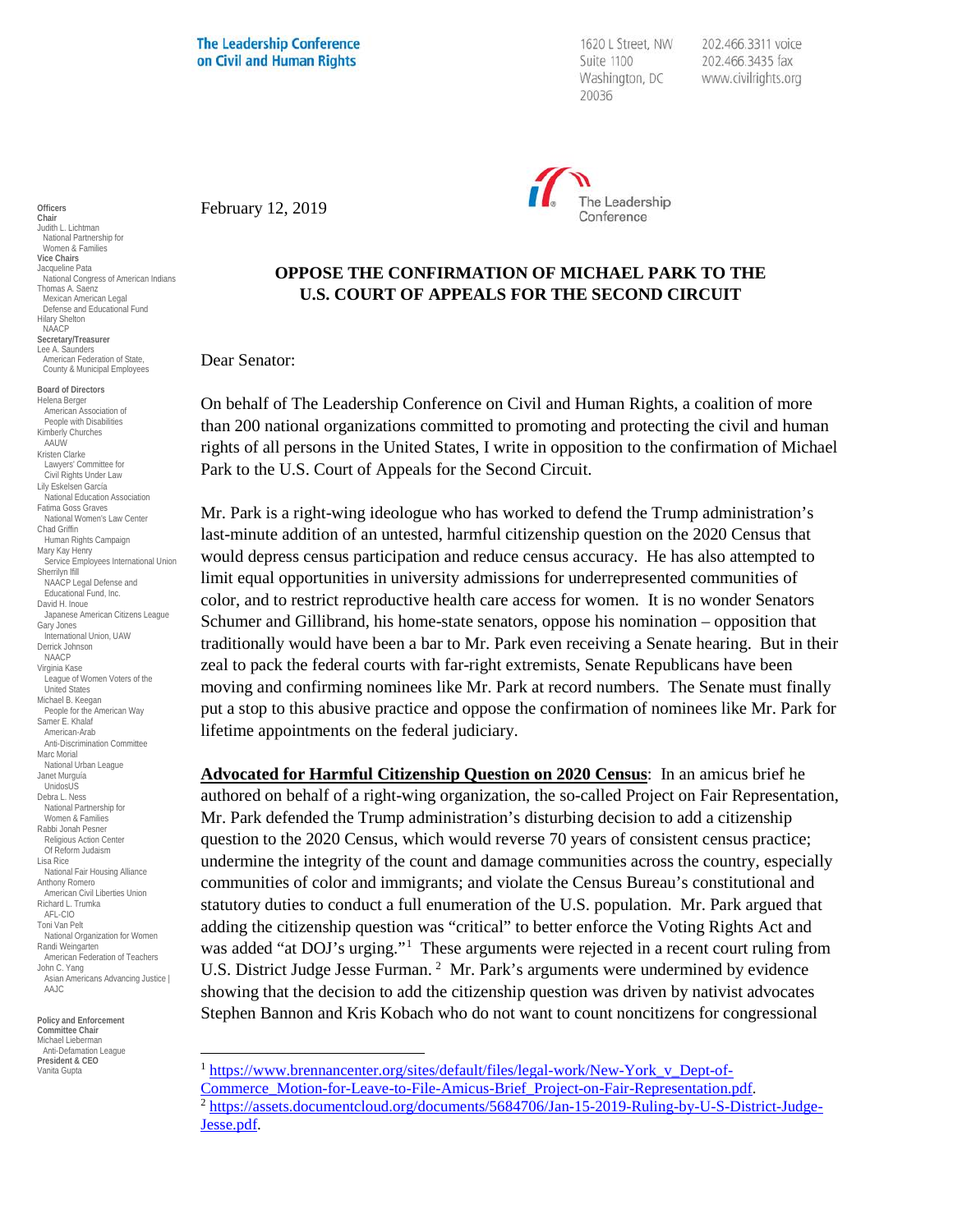**The Leadership Conference** on Civil and Human Rights

1620 L Street, NW Suite 1100 Washington, DC 20036

202.466.3311 voice 202.466.3435 fax www.civilrights.org



February 12, 2019

## **OPPOSE THE CONFIRMATION OF MICHAEL PARK TO THE U.S. COURT OF APPEALS FOR THE SECOND CIRCUIT**

Dear Senator:

On behalf of The Leadership Conference on Civil and Human Rights, a coalition of more than 200 national organizations committed to promoting and protecting the civil and human rights of all persons in the United States, I write in opposition to the confirmation of Michael Park to the U.S. Court of Appeals for the Second Circuit.

Mr. Park is a right-wing ideologue who has worked to defend the Trump administration's last-minute addition of an untested, harmful citizenship question on the 2020 Census that would depress census participation and reduce census accuracy. He has also attempted to limit equal opportunities in university admissions for underrepresented communities of color, and to restrict reproductive health care access for women. It is no wonder Senators Schumer and Gillibrand, his home-state senators, oppose his nomination – opposition that traditionally would have been a bar to Mr. Park even receiving a Senate hearing. But in their zeal to pack the federal courts with far-right extremists, Senate Republicans have been moving and confirming nominees like Mr. Park at record numbers. The Senate must finally put a stop to this abusive practice and oppose the confirmation of nominees like Mr. Park for lifetime appointments on the federal judiciary.

**Advocated for Harmful Citizenship Question on 2020 Census**: In an amicus brief he authored on behalf of a right-wing organization, the so-called Project on Fair Representation, Mr. Park defended the Trump administration's disturbing decision to add a citizenship question to the 2020 Census, which would reverse 70 years of consistent census practice; undermine the integrity of the count and damage communities across the country, especially communities of color and immigrants; and violate the Census Bureau's constitutional and statutory duties to conduct a full enumeration of the U.S. population. Mr. Park argued that adding the citizenship question was "critical" to better enforce the Voting Rights Act and was added "at DOJ's urging."<sup>[1](#page-0-0)</sup> These arguments were rejected in a recent court ruling from U.S. District Judge Jesse Furman.<sup>[2](#page-0-1)</sup> Mr. Park's arguments were undermined by evidence showing that the decision to add the citizenship question was driven by nativist advocates Stephen Bannon and Kris Kobach who do not want to count noncitizens for congressional

<sup>1</sup> https://www.brennancenter.org/sites/default/files/legal-work/New-York v Dept-of-[Commerce\\_Motion-for-Leave-to-File-Amicus-Brief\\_Project-on-Fair-Representation.pdf.](https://www.brennancenter.org/sites/default/files/legal-work/New-York_v_Dept-of-Commerce_Motion-for-Leave-to-File-Amicus-Brief_Project-on-Fair-Representation.pdf)<br><sup>2</sup> [https://assets.documentcloud.org/documents/5684706/Jan-15-2019-Ruling-by-U-S-District-Judge-](https://assets.documentcloud.org/documents/5684706/Jan-15-2019-Ruling-by-U-S-District-Judge-Jesse.pdf)[Jesse.pdf.](https://assets.documentcloud.org/documents/5684706/Jan-15-2019-Ruling-by-U-S-District-Judge-Jesse.pdf) 

**Officers Chair** Judith L. Lichtman National Partnership for Women & Families **Vice Chairs** Jacqueline Pata National Congress of American Indians Thomas A. Saenz Mexican American Legal Defense and Educational Fund Hilary Shelton NAACP **Secretary/Treasurer** Lee A. Saunders American Federation of State, County & Municipal Employees **Board of Directors** Helena Berger American Association of

People with Disabilities Kimberly Churches AAUW Kristen Clarke Lawyers' Committee for Civil Rights Under Law Lily Eskelsen García National Education Association Fatima Goss Graves National Women's Law Center Chad Griffin Human Rights Campaign Mary Kay Henry Service Employees International Union Sherrilyn Ifill NAACP Legal Defense and Educational Fund, Inc. David H. Inoue Japanese American Citizens League Gary Jones International Union, UAW Derrick Johnson **NAACP** Virginia Kase League of Women Voters of the United States Michael B. Keegan People for the American Way Samer E. Khalaf American-Arab Anti-Discrimination Committee Marc Morial National Urban League Janet Murguía UnidosUS Debra L. Ness National Partnership for Women & Families Rabbi Jonah Pesner Religious Action Center Of Reform Judaism Lisa Rice National Fair Housing Alliance Anthony Romero American Civil Liberties Union Richard L. Trumka AFL-CIO Toni Van Pelt National Organization for Women Randi Weingarten American Federation of Teachers John C. Yang Asian Americans Advancing Justice | AAJC

<span id="page-0-1"></span><span id="page-0-0"></span>**Policy and Enforcement Committee Chair** Michael Lieberman Anti-Defamation League **President & CEO** Vanita Gupta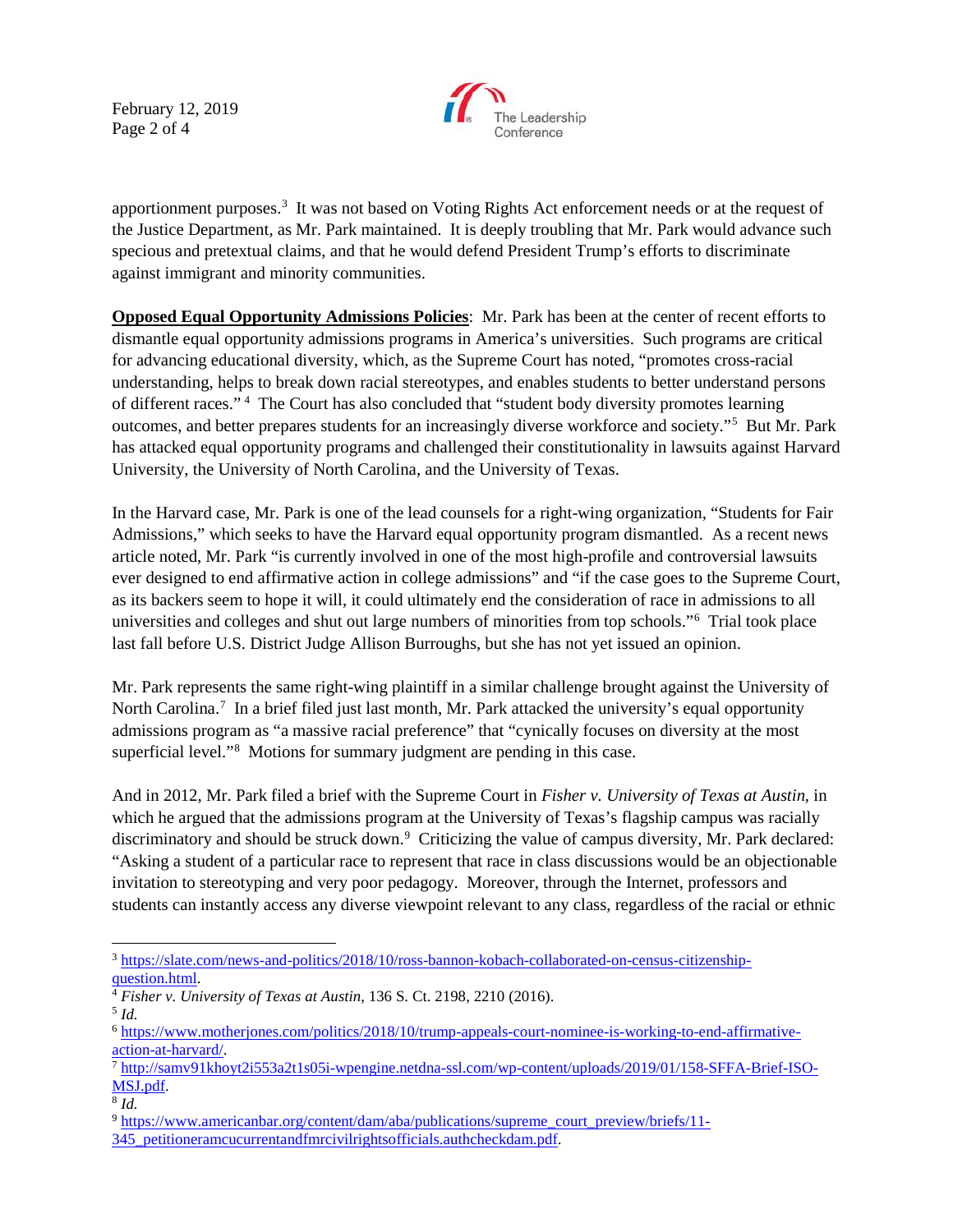February 12, 2019 Page 2 of 4



apportionment purposes.[3](#page-1-0) It was not based on Voting Rights Act enforcement needs or at the request of the Justice Department, as Mr. Park maintained. It is deeply troubling that Mr. Park would advance such specious and pretextual claims, and that he would defend President Trump's efforts to discriminate against immigrant and minority communities.

**Opposed Equal Opportunity Admissions Policies**: Mr. Park has been at the center of recent efforts to dismantle equal opportunity admissions programs in America's universities. Such programs are critical for advancing educational diversity, which, as the Supreme Court has noted, "promotes cross-racial understanding, helps to break down racial stereotypes, and enables students to better understand persons of different races."<sup>[4](#page-1-1)</sup> The Court has also concluded that "student body diversity promotes learning outcomes, and better prepares students for an increasingly diverse workforce and society."[5](#page-1-2) But Mr. Park has attacked equal opportunity programs and challenged their constitutionality in lawsuits against Harvard University, the University of North Carolina, and the University of Texas.

In the Harvard case, Mr. Park is one of the lead counsels for a right-wing organization, "Students for Fair Admissions," which seeks to have the Harvard equal opportunity program dismantled. As a recent news article noted, Mr. Park "is currently involved in one of the most high-profile and controversial lawsuits ever designed to end affirmative action in college admissions" and "if the case goes to the Supreme Court, as its backers seem to hope it will, it could ultimately end the consideration of race in admissions to all universities and colleges and shut out large numbers of minorities from top schools."[6](#page-1-3) Trial took place last fall before U.S. District Judge Allison Burroughs, but she has not yet issued an opinion.

Mr. Park represents the same right-wing plaintiff in a similar challenge brought against the University of North Carolina.<sup>[7](#page-1-4)</sup> In a brief filed just last month, Mr. Park attacked the university's equal opportunity admissions program as "a massive racial preference" that "cynically focuses on diversity at the most superficial level."<sup>[8](#page-1-5)</sup> Motions for summary judgment are pending in this case.

And in 2012, Mr. Park filed a brief with the Supreme Court in *Fisher v. University of Texas at Austin*, in which he argued that the admissions program at the University of Texas's flagship campus was racially discriminatory and should be struck down.<sup>[9](#page-1-6)</sup> Criticizing the value of campus diversity, Mr. Park declared: "Asking a student of a particular race to represent that race in class discussions would be an objectionable invitation to stereotyping and very poor pedagogy. Moreover, through the Internet, professors and students can instantly access any diverse viewpoint relevant to any class, regardless of the racial or ethnic

<span id="page-1-0"></span> <sup>3</sup> [https://slate.com/news-and-politics/2018/10/ross-bannon-kobach-collaborated-on-census-citizenship](https://slate.com/news-and-politics/2018/10/ross-bannon-kobach-collaborated-on-census-citizenship-question.html)[question.html.](https://slate.com/news-and-politics/2018/10/ross-bannon-kobach-collaborated-on-census-citizenship-question.html)

<span id="page-1-1"></span><sup>4</sup> *Fisher v. University of Texas at Austin*, 136 S. Ct. 2198, 2210 (2016).

<span id="page-1-2"></span><sup>5</sup> *Id.*

<span id="page-1-3"></span><sup>6</sup> [https://www.motherjones.com/politics/2018/10/trump-appeals-court-nominee-is-working-to-end-affirmative-](https://www.motherjones.com/politics/2018/10/trump-appeals-court-nominee-is-working-to-end-affirmative-action-at-harvard/)

<span id="page-1-4"></span> $a<sup>7</sup>$ [http://samv91khoyt2i553a2t1s05i-wpengine.netdna-ssl.com/wp-content/uploads/2019/01/158-SFFA-Brief-ISO-](http://samv91khoyt2i553a2t1s05i-wpengine.netdna-ssl.com/wp-content/uploads/2019/01/158-SFFA-Brief-ISO-MSJ.pdf) $\frac{\text{MSJ.pdf}}{8 \text{Id}}$ .

<span id="page-1-5"></span>

<span id="page-1-6"></span><sup>&</sup>lt;sup>9</sup> [https://www.americanbar.org/content/dam/aba/publications/supreme\\_court\\_preview/briefs/11-](https://www.americanbar.org/content/dam/aba/publications/supreme_court_preview/briefs/11-345_petitioneramcucurrentandfmrcivilrightsofficials.authcheckdam.pdf)

[<sup>345</sup>\\_petitioneramcucurrentandfmrcivilrightsofficials.authcheckdam.pdf.](https://www.americanbar.org/content/dam/aba/publications/supreme_court_preview/briefs/11-345_petitioneramcucurrentandfmrcivilrightsofficials.authcheckdam.pdf)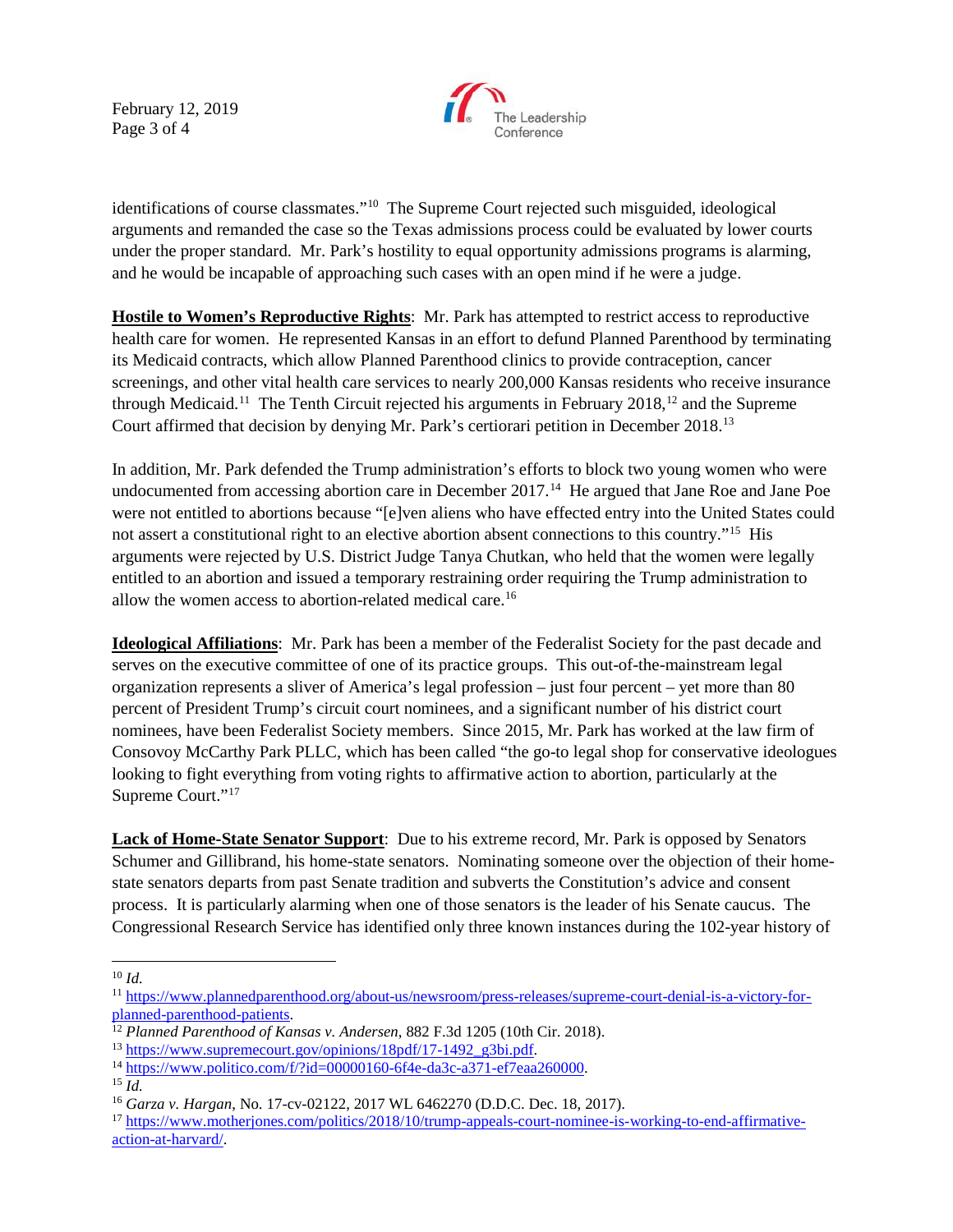February 12, 2019 Page 3 of 4



identifications of course classmates."[10](#page-2-0) The Supreme Court rejected such misguided, ideological arguments and remanded the case so the Texas admissions process could be evaluated by lower courts under the proper standard. Mr. Park's hostility to equal opportunity admissions programs is alarming, and he would be incapable of approaching such cases with an open mind if he were a judge.

**Hostile to Women's Reproductive Rights**: Mr. Park has attempted to restrict access to reproductive health care for women. He represented Kansas in an effort to defund Planned Parenthood by terminating its Medicaid contracts, which allow Planned Parenthood clinics to provide contraception, cancer screenings, and other vital health care services to nearly 200,000 Kansas residents who receive insurance through Medicaid.<sup>11</sup> The Tenth Circuit rejected his arguments in February 2018,<sup>12</sup> and the Supreme Court affirmed that decision by denying Mr. Park's certiorari petition in December 2018.[13](#page-2-3)

In addition, Mr. Park defended the Trump administration's efforts to block two young women who were undocumented from accessing abortion care in December 2017. [14](#page-2-4) He argued that Jane Roe and Jane Poe were not entitled to abortions because "[e]ven aliens who have effected entry into the United States could not assert a constitutional right to an elective abortion absent connections to this country."[15](#page-2-5) His arguments were rejected by U.S. District Judge Tanya Chutkan, who held that the women were legally entitled to an abortion and issued a temporary restraining order requiring the Trump administration to allow the women access to abortion-related medical care.[16](#page-2-6)

**Ideological Affiliations**: Mr. Park has been a member of the Federalist Society for the past decade and serves on the executive committee of one of its practice groups. This out-of-the-mainstream legal organization represents a sliver of America's legal profession – just four percent – yet more than 80 percent of President Trump's circuit court nominees, and a significant number of his district court nominees, have been Federalist Society members. Since 2015, Mr. Park has worked at the law firm of Consovoy McCarthy Park PLLC, which has been called "the go-to legal shop for conservative ideologues looking to fight everything from voting rights to affirmative action to abortion, particularly at the Supreme Court."[17](#page-2-7)

**Lack of Home-State Senator Support**: Due to his extreme record, Mr. Park is opposed by Senators Schumer and Gillibrand, his home-state senators. Nominating someone over the objection of their homestate senators departs from past Senate tradition and subverts the Constitution's advice and consent process. It is particularly alarming when one of those senators is the leader of his Senate caucus. The Congressional Research Service has identified only three known instances during the 102-year history of

 <sup>10</sup> *Id.*

<span id="page-2-1"></span><span id="page-2-0"></span><sup>&</sup>lt;sup>11</sup> https://www.plannedparenthood.org/about-us/newsroom/press-releases/supreme-court-denial-is-a-victory-for-<br>planned-parenthood-patients.

<span id="page-2-2"></span><sup>&</sup>lt;sup>12</sup> Planned-Parenthood of Kansas v. Andersen, 882 F.3d 1205 (10th Cir. 2018).<br><sup>13</sup> https://www.supremecourt.gov/opinions/18pdf/17-1492 g3bi.pdf.

<span id="page-2-3"></span>

<span id="page-2-4"></span> $^{14}$  [https://www.politico.com/f/?id=00000160-6f4e-da3c-a371-ef7eaa260000.](https://www.politico.com/f/?id=00000160-6f4e-da3c-a371-ef7eaa260000) 15 *Id.* 

<span id="page-2-6"></span><span id="page-2-5"></span>

<sup>16</sup> *Garza v. Hargan*, No. 17-cv-02122, 2017 WL 6462270 (D.D.C. Dec. 18, 2017).

<span id="page-2-7"></span><sup>&</sup>lt;sup>17</sup> [https://www.motherjones.com/politics/2018/10/trump-appeals-court-nominee-is-working-to-end-affirmative](https://www.motherjones.com/politics/2018/10/trump-appeals-court-nominee-is-working-to-end-affirmative-action-at-harvard/)[action-at-harvard/.](https://www.motherjones.com/politics/2018/10/trump-appeals-court-nominee-is-working-to-end-affirmative-action-at-harvard/)